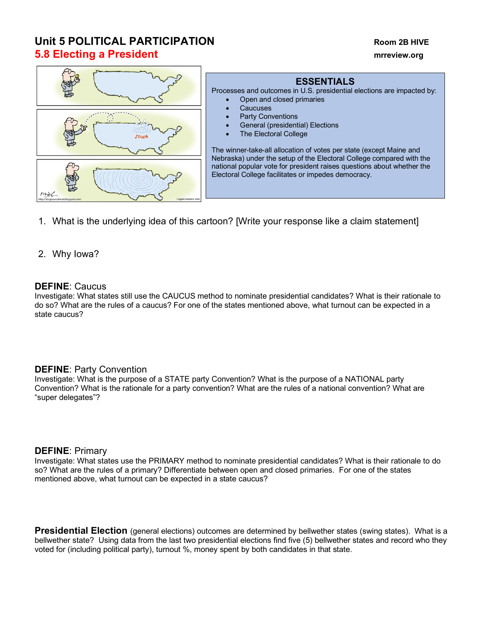# **Unit 5 POLITICAL PARTICIPATION Room 2B HIVE 5.8 Electing a President mrreview.org**



# **ESSENTIALS**

Processes and outcomes in U.S. presidential elections are impacted by: • Open and closed primaries

- **Caucuses**
- Party Conventions
- General (presidential) Elections
- **The Electoral College**

The winner-take-all allocation of votes per state (except Maine and Nebraska) under the setup of the Electoral College compared with the national popular vote for president raises questions about whether the Electoral College facilitates or impedes democracy.

1. What is the underlying idea of this cartoon? [Write your response like a claim statement]

## 2. Why Iowa?

#### **DEFINE**: Caucus

Investigate: What states still use the CAUCUS method to nominate presidential candidates? What is their rationale to do so? What are the rules of a caucus? For one of the states mentioned above, what turnout can be expected in a state caucus?

## **DEFINE**: Party Convention

Investigate: What is the purpose of a STATE party Convention? What is the purpose of a NATIONAL party Convention? What is the rationale for a party convention? What are the rules of a national convention? What are "super delegates"?

#### **DEFINE**: Primary

Investigate: What states use the PRIMARY method to nominate presidential candidates? What is their rationale to do so? What are the rules of a primary? Differentiate between open and closed primaries. For one of the states mentioned above, what turnout can be expected in a state caucus?

**Presidential Election** (general elections) outcomes are determined by bellwether states (swing states). What is a bellwether state? Using data from the last two presidential elections find five (5) bellwether states and record who they voted for (including political party), turnout %, money spent by both candidates in that state.